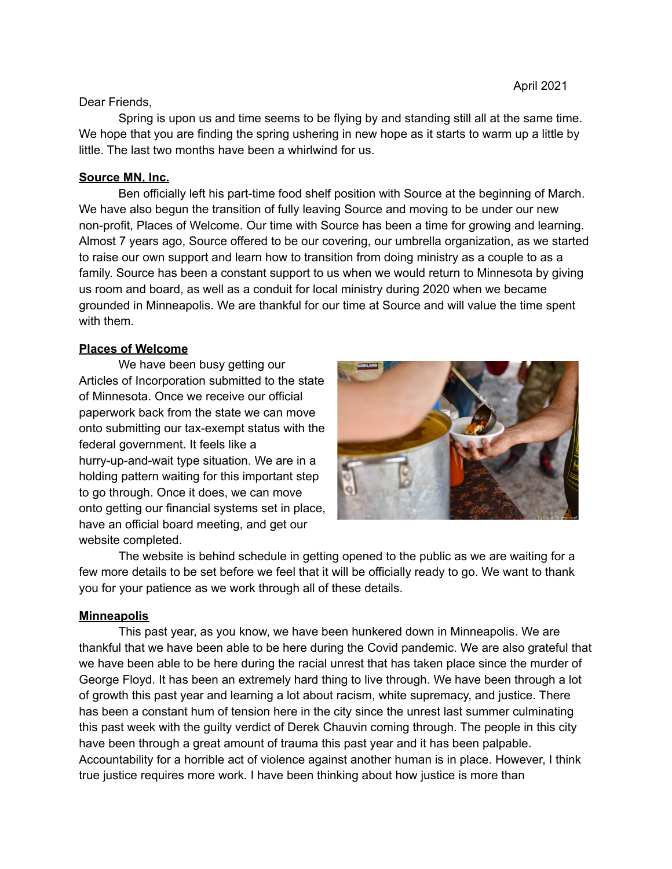#### Dear Friends,

Spring is upon us and time seems to be flying by and standing still all at the same time. We hope that you are finding the spring ushering in new hope as it starts to warm up a little by little. The last two months have been a whirlwind for us.

## **Source MN, Inc.**

Ben officially left his part-time food shelf position with Source at the beginning of March. We have also begun the transition of fully leaving Source and moving to be under our new non-profit, Places of Welcome. Our time with Source has been a time for growing and learning. Almost 7 years ago, Source offered to be our covering, our umbrella organization, as we started to raise our own support and learn how to transition from doing ministry as a couple to as a family. Source has been a constant support to us when we would return to Minnesota by giving us room and board, as well as a conduit for local ministry during 2020 when we became grounded in Minneapolis. We are thankful for our time at Source and will value the time spent with them.

### **Places of Welcome**

We have been busy getting our Articles of Incorporation submitted to the state of Minnesota. Once we receive our official paperwork back from the state we can move onto submitting our tax-exempt status with the federal government. It feels like a hurry-up-and-wait type situation. We are in a holding pattern waiting for this important step to go through. Once it does, we can move onto getting our financial systems set in place, have an official board meeting, and get our website completed.



The website is behind schedule in getting opened to the public as we are waiting for a few more details to be set before we feel that it will be officially ready to go. We want to thank you for your patience as we work through all of these details.

# **Minneapolis**

This past year, as you know, we have been hunkered down in Minneapolis. We are thankful that we have been able to be here during the Covid pandemic. We are also grateful that we have been able to be here during the racial unrest that has taken place since the murder of George Floyd. It has been an extremely hard thing to live through. We have been through a lot of growth this past year and learning a lot about racism, white supremacy, and justice. There has been a constant hum of tension here in the city since the unrest last summer culminating this past week with the guilty verdict of Derek Chauvin coming through. The people in this city have been through a great amount of trauma this past year and it has been palpable. Accountability for a horrible act of violence against another human is in place. However, I think true justice requires more work. I have been thinking about how justice is more than